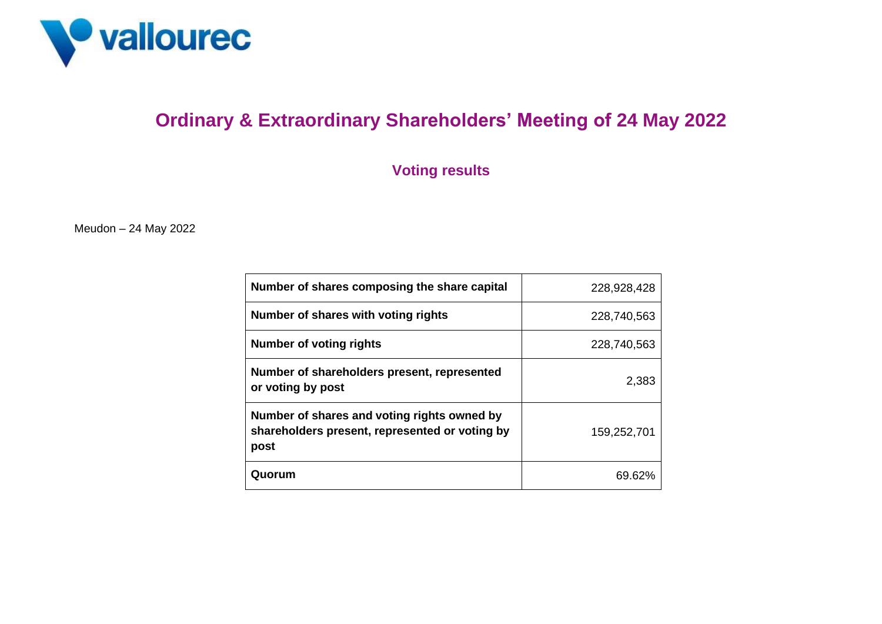

## **Ordinary & Extraordinary Shareholders' Meeting of 24 May 2022**

## **Voting results**

Meudon – 24 May 2022

| Number of shares composing the share capital                                                          | 228,928,428 |
|-------------------------------------------------------------------------------------------------------|-------------|
| Number of shares with voting rights                                                                   | 228,740,563 |
| Number of voting rights                                                                               | 228,740,563 |
| Number of shareholders present, represented<br>or voting by post                                      | 2,383       |
| Number of shares and voting rights owned by<br>shareholders present, represented or voting by<br>post | 159,252,701 |
| Quorum                                                                                                | 69.62%      |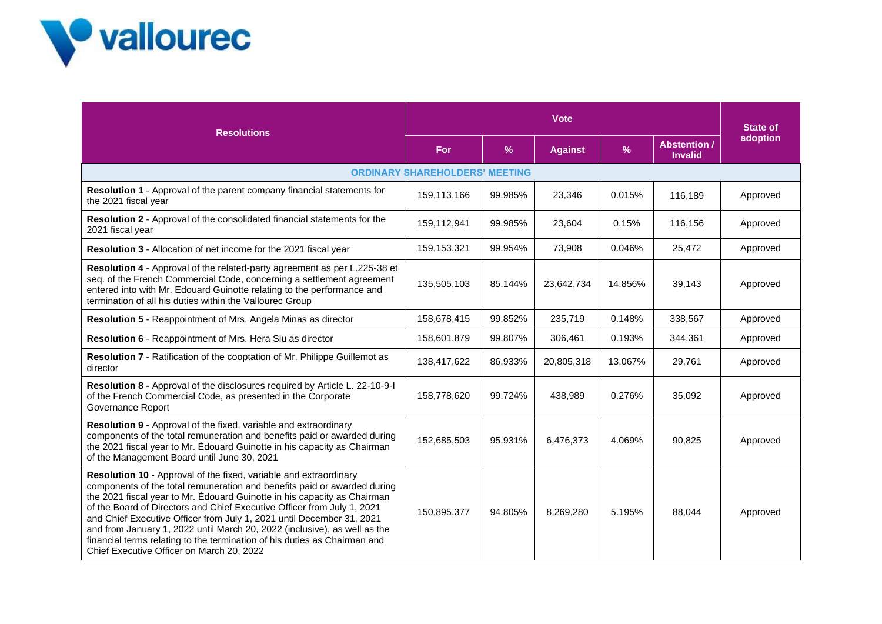

| <b>Resolutions</b>                                                                                                                                                                                                                                                                                                                                                                                                                                                                                                                                                                   | <b>Vote</b>                           |         |                |               |                                       | <b>State of</b> |
|--------------------------------------------------------------------------------------------------------------------------------------------------------------------------------------------------------------------------------------------------------------------------------------------------------------------------------------------------------------------------------------------------------------------------------------------------------------------------------------------------------------------------------------------------------------------------------------|---------------------------------------|---------|----------------|---------------|---------------------------------------|-----------------|
|                                                                                                                                                                                                                                                                                                                                                                                                                                                                                                                                                                                      | For                                   | $\%$    | <b>Against</b> | $\frac{9}{6}$ | <b>Abstention /</b><br><b>Invalid</b> | adoption        |
|                                                                                                                                                                                                                                                                                                                                                                                                                                                                                                                                                                                      | <b>ORDINARY SHAREHOLDERS' MEETING</b> |         |                |               |                                       |                 |
| Resolution 1 - Approval of the parent company financial statements for<br>the 2021 fiscal year                                                                                                                                                                                                                                                                                                                                                                                                                                                                                       | 159,113,166                           | 99.985% | 23,346         | 0.015%        | 116,189                               | Approved        |
| Resolution 2 - Approval of the consolidated financial statements for the<br>2021 fiscal year                                                                                                                                                                                                                                                                                                                                                                                                                                                                                         | 159,112,941                           | 99.985% | 23,604         | 0.15%         | 116,156                               | Approved        |
| Resolution 3 - Allocation of net income for the 2021 fiscal year                                                                                                                                                                                                                                                                                                                                                                                                                                                                                                                     | 159, 153, 321                         | 99.954% | 73,908         | 0.046%        | 25,472                                | Approved        |
| Resolution 4 - Approval of the related-party agreement as per L.225-38 et<br>seq. of the French Commercial Code, concerning a settlement agreement<br>entered into with Mr. Edouard Guinotte relating to the performance and<br>termination of all his duties within the Vallourec Group                                                                                                                                                                                                                                                                                             | 135,505,103                           | 85.144% | 23,642,734     | 14.856%       | 39,143                                | Approved        |
| Resolution 5 - Reappointment of Mrs. Angela Minas as director                                                                                                                                                                                                                                                                                                                                                                                                                                                                                                                        | 158,678,415                           | 99.852% | 235,719        | 0.148%        | 338,567                               | Approved        |
| Resolution 6 - Reappointment of Mrs. Hera Siu as director                                                                                                                                                                                                                                                                                                                                                                                                                                                                                                                            | 158,601,879                           | 99.807% | 306,461        | 0.193%        | 344,361                               | Approved        |
| Resolution 7 - Ratification of the cooptation of Mr. Philippe Guillemot as<br>director                                                                                                                                                                                                                                                                                                                                                                                                                                                                                               | 138,417,622                           | 86.933% | 20,805,318     | 13.067%       | 29,761                                | Approved        |
| Resolution 8 - Approval of the disclosures required by Article L. 22-10-9-I<br>of the French Commercial Code, as presented in the Corporate<br>Governance Report                                                                                                                                                                                                                                                                                                                                                                                                                     | 158,778,620                           | 99.724% | 438,989        | 0.276%        | 35,092                                | Approved        |
| Resolution 9 - Approval of the fixed, variable and extraordinary<br>components of the total remuneration and benefits paid or awarded during<br>the 2021 fiscal year to Mr. Édouard Guinotte in his capacity as Chairman<br>of the Management Board until June 30, 2021                                                                                                                                                                                                                                                                                                              | 152,685,503                           | 95.931% | 6,476,373      | 4.069%        | 90,825                                | Approved        |
| Resolution 10 - Approval of the fixed, variable and extraordinary<br>components of the total remuneration and benefits paid or awarded during<br>the 2021 fiscal year to Mr. Édouard Guinotte in his capacity as Chairman<br>of the Board of Directors and Chief Executive Officer from July 1, 2021<br>and Chief Executive Officer from July 1, 2021 until December 31, 2021<br>and from January 1, 2022 until March 20, 2022 (inclusive), as well as the<br>financial terms relating to the termination of his duties as Chairman and<br>Chief Executive Officer on March 20, 2022 | 150,895,377                           | 94.805% | 8,269,280      | 5.195%        | 88,044                                | Approved        |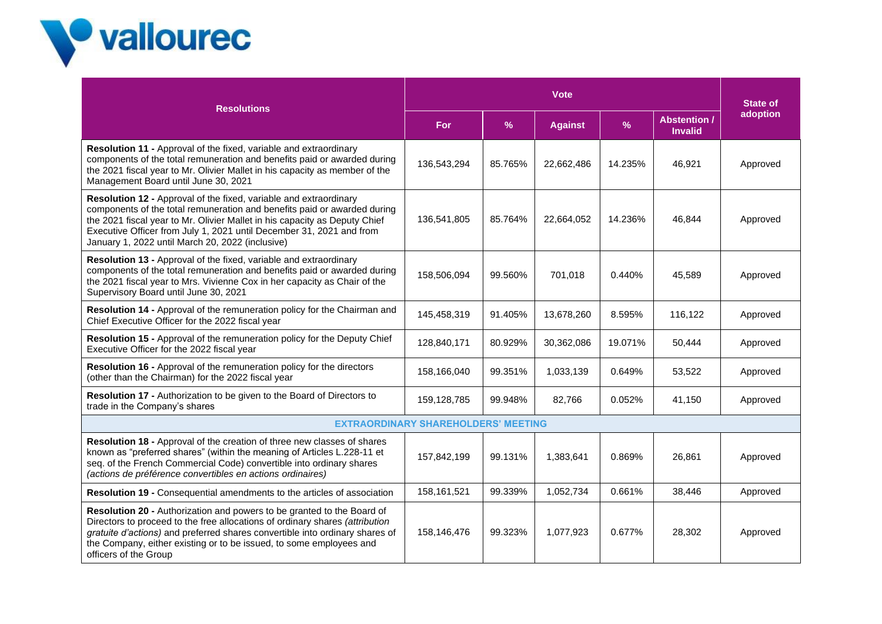

| <b>Resolutions</b>                                                                                                                                                                                                                                                                                                                                      | <b>Vote</b>   |               |                |         |                                       | <b>State of</b> |
|---------------------------------------------------------------------------------------------------------------------------------------------------------------------------------------------------------------------------------------------------------------------------------------------------------------------------------------------------------|---------------|---------------|----------------|---------|---------------------------------------|-----------------|
|                                                                                                                                                                                                                                                                                                                                                         | For           | $\frac{9}{6}$ | <b>Against</b> | %       | <b>Abstention /</b><br><b>Invalid</b> | adoption        |
| Resolution 11 - Approval of the fixed, variable and extraordinary<br>components of the total remuneration and benefits paid or awarded during<br>the 2021 fiscal year to Mr. Olivier Mallet in his capacity as member of the<br>Management Board until June 30, 2021                                                                                    | 136,543,294   | 85.765%       | 22,662,486     | 14.235% | 46,921                                | Approved        |
| Resolution 12 - Approval of the fixed, variable and extraordinary<br>components of the total remuneration and benefits paid or awarded during<br>the 2021 fiscal year to Mr. Olivier Mallet in his capacity as Deputy Chief<br>Executive Officer from July 1, 2021 until December 31, 2021 and from<br>January 1, 2022 until March 20, 2022 (inclusive) | 136,541,805   | 85.764%       | 22,664,052     | 14.236% | 46.844                                | Approved        |
| Resolution 13 - Approval of the fixed, variable and extraordinary<br>components of the total remuneration and benefits paid or awarded during<br>the 2021 fiscal year to Mrs. Vivienne Cox in her capacity as Chair of the<br>Supervisory Board until June 30, 2021                                                                                     | 158,506,094   | 99.560%       | 701,018        | 0.440%  | 45,589                                | Approved        |
| Resolution 14 - Approval of the remuneration policy for the Chairman and<br>Chief Executive Officer for the 2022 fiscal year                                                                                                                                                                                                                            | 145,458,319   | 91.405%       | 13,678,260     | 8.595%  | 116,122                               | Approved        |
| Resolution 15 - Approval of the remuneration policy for the Deputy Chief<br>Executive Officer for the 2022 fiscal year                                                                                                                                                                                                                                  | 128,840,171   | 80.929%       | 30,362,086     | 19.071% | 50,444                                | Approved        |
| Resolution 16 - Approval of the remuneration policy for the directors<br>(other than the Chairman) for the 2022 fiscal year                                                                                                                                                                                                                             | 158,166,040   | 99.351%       | 1,033,139      | 0.649%  | 53,522                                | Approved        |
| <b>Resolution 17 - Authorization to be given to the Board of Directors to</b><br>trade in the Company's shares                                                                                                                                                                                                                                          | 159,128,785   | 99.948%       | 82,766         | 0.052%  | 41,150                                | Approved        |
| <b>EXTRAORDINARY SHAREHOLDERS' MEETING</b>                                                                                                                                                                                                                                                                                                              |               |               |                |         |                                       |                 |
| Resolution 18 - Approval of the creation of three new classes of shares<br>known as "preferred shares" (within the meaning of Articles L.228-11 et<br>seq. of the French Commercial Code) convertible into ordinary shares<br>(actions de préférence convertibles en actions ordinaires)                                                                | 157,842,199   | 99.131%       | 1,383,641      | 0.869%  | 26,861                                | Approved        |
| Resolution 19 - Consequential amendments to the articles of association                                                                                                                                                                                                                                                                                 | 158, 161, 521 | 99.339%       | 1,052,734      | 0.661%  | 38,446                                | Approved        |
| Resolution 20 - Authorization and powers to be granted to the Board of<br>Directors to proceed to the free allocations of ordinary shares (attribution<br>gratuite d'actions) and preferred shares convertible into ordinary shares of<br>the Company, either existing or to be issued, to some employees and<br>officers of the Group                  | 158,146,476   | 99.323%       | 1,077,923      | 0.677%  | 28,302                                | Approved        |